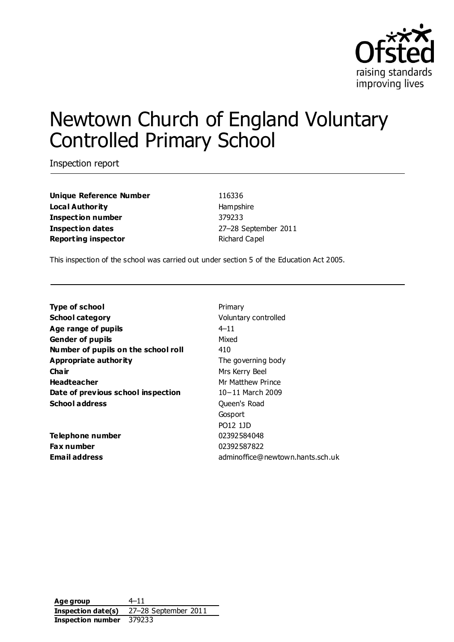

# Newtown Church of England Voluntary Controlled Primary School

Inspection report

**Unique Reference Number** 116336 **Local Authority Hampshire Inspection number** 379233 **Inspection dates** 27–28 September 2011 **Reporting inspector Richard Capel** 

This inspection of the school was carried out under section 5 of the Education Act 2005.

| <b>Type of school</b>               | Primary                          |
|-------------------------------------|----------------------------------|
| <b>School category</b>              | Voluntary controlled             |
| Age range of pupils                 | $4 - 11$                         |
| <b>Gender of pupils</b>             | Mixed                            |
| Number of pupils on the school roll | 410                              |
| Appropriate authority               | The governing body               |
| Cha ir                              | Mrs Kerry Beel                   |
| <b>Headteacher</b>                  | Mr Matthew Prince                |
| Date of previous school inspection  | 10-11 March 2009                 |
| <b>School address</b>               | Queen's Road                     |
|                                     | Gosport                          |
|                                     | PO12 1JD                         |
| Telephone number                    | 02392584048                      |
| Fax number                          | 02392587822                      |
| Email address                       | adminoffice@newtown.hants.sch.uk |
|                                     |                                  |

**Age group** 4–11 **Inspection date(s)** 27–28 September 2011 **Inspection number** 379233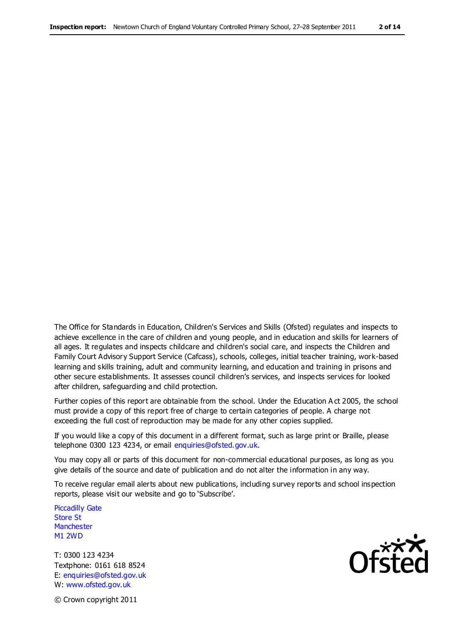The Office for Standards in Education, Children's Services and Skills (Ofsted) regulates and inspects to achieve excellence in the care of children and young people, and in education and skills for learners of all ages. It regulates and inspects childcare and children's social care, and inspects the Children and Family Court Advisory Support Service (Cafcass), schools, colleges, initial teacher training, work-based learning and skills training, adult and community learning, and education and training in prisons and other secure establishments. It assesses council children's services, and inspects services for looked after children, safeguarding and child protection.

Further copies of this report are obtainable from the school. Under the Education A ct 2005, the school must provide a copy of this report free of charge to certain categories of people. A charge not exceeding the full cost of reproduction may be made for any other copies supplied.

If you would like a copy of this document in a different format, such as large print or Braille, please telephone 0300 123 4234, or email enquiries@ofsted.gov.uk.

You may copy all or parts of this document for non-commercial educational purposes, as long as you give details of the source and date of publication and do not alter the information in any way.

To receive regular email alerts about new publications, including survey reports and school inspection reports, please visit our website and go to 'Subscribe'.

Piccadilly Gate Store St **Manchester** M1 2WD

T: 0300 123 4234 Textphone: 0161 618 8524 E: enquiries@ofsted.gov.uk W: www.ofsted.gov.uk

**Ofsted** 

© Crown copyright 2011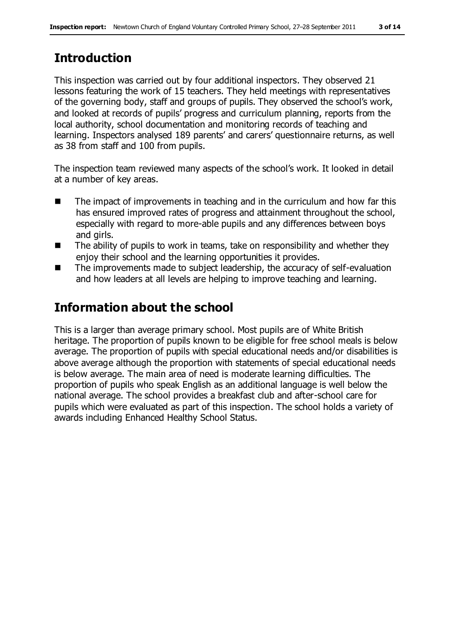# **Introduction**

This inspection was carried out by four additional inspectors. They observed 21 lessons featuring the work of 15 teachers. They held meetings with representatives of the governing body, staff and groups of pupils. They observed the school's work, and looked at records of pupils' progress and curriculum planning, reports from the local authority, school documentation and monitoring records of teaching and learning. Inspectors analysed 189 parents' and carers' questionnaire returns, as well as 38 from staff and 100 from pupils.

The inspection team reviewed many aspects of the school's work. It looked in detail at a number of key areas.

- The impact of improvements in teaching and in the curriculum and how far this has ensured improved rates of progress and attainment throughout the school, especially with regard to more-able pupils and any differences between boys and girls.
- $\blacksquare$  The ability of pupils to work in teams, take on responsibility and whether they enjoy their school and the learning opportunities it provides.
- The improvements made to subject leadership, the accuracy of self-evaluation and how leaders at all levels are helping to improve teaching and learning.

# **Information about the school**

This is a larger than average primary school. Most pupils are of White British heritage. The proportion of pupils known to be eligible for free school meals is below average. The proportion of pupils with special educational needs and/or disabilities is above average although the proportion with statements of special educational needs is below average. The main area of need is moderate learning difficulties. The proportion of pupils who speak English as an additional language is well below the national average. The school provides a breakfast club and after-school care for pupils which were evaluated as part of this inspection. The school holds a variety of awards including Enhanced Healthy School Status.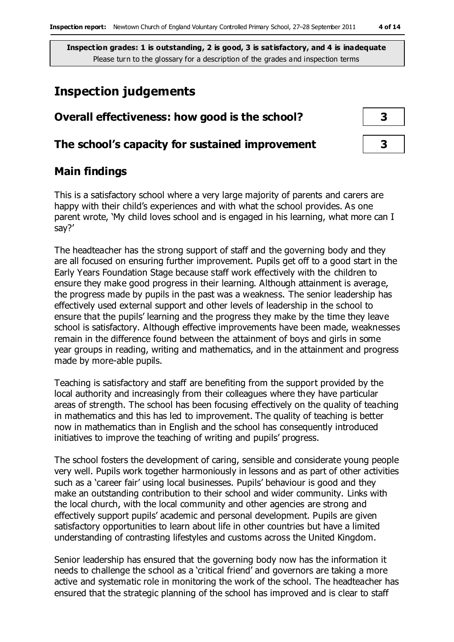# **Inspection judgements**

| Overall effectiveness: how good is the school?  |  |  |
|-------------------------------------------------|--|--|
| The school's capacity for sustained improvement |  |  |

# **Main findings**

This is a satisfactory school where a very large majority of parents and carers are happy with their child's experiences and with what the school provides. As one parent wrote, 'My child loves school and is engaged in his learning, what more can I say?'

The headteacher has the strong support of staff and the governing body and they are all focused on ensuring further improvement. Pupils get off to a good start in the Early Years Foundation Stage because staff work effectively with the children to ensure they make good progress in their learning. Although attainment is average, the progress made by pupils in the past was a weakness. The senior leadership has effectively used external support and other levels of leadership in the school to ensure that the pupils' learning and the progress they make by the time they leave school is satisfactory. Although effective improvements have been made, weaknesses remain in the difference found between the attainment of boys and girls in some year groups in reading, writing and mathematics, and in the attainment and progress made by more-able pupils.

Teaching is satisfactory and staff are benefiting from the support provided by the local authority and increasingly from their colleagues where they have particular areas of strength. The school has been focusing effectively on the quality of teaching in mathematics and this has led to improvement. The quality of teaching is better now in mathematics than in English and the school has consequently introduced initiatives to improve the teaching of writing and pupils' progress.

The school fosters the development of caring, sensible and considerate young people very well. Pupils work together harmoniously in lessons and as part of other activities such as a 'career fair' using local businesses. Pupils' behaviour is good and they make an outstanding contribution to their school and wider community. Links with the local church, with the local community and other agencies are strong and effectively support pupils' academic and personal development. Pupils are given satisfactory opportunities to learn about life in other countries but have a limited understanding of contrasting lifestyles and customs across the United Kingdom.

Senior leadership has ensured that the governing body now has the information it needs to challenge the school as a 'critical friend' and governors are taking a more active and systematic role in monitoring the work of the school. The headteacher has ensured that the strategic planning of the school has improved and is clear to staff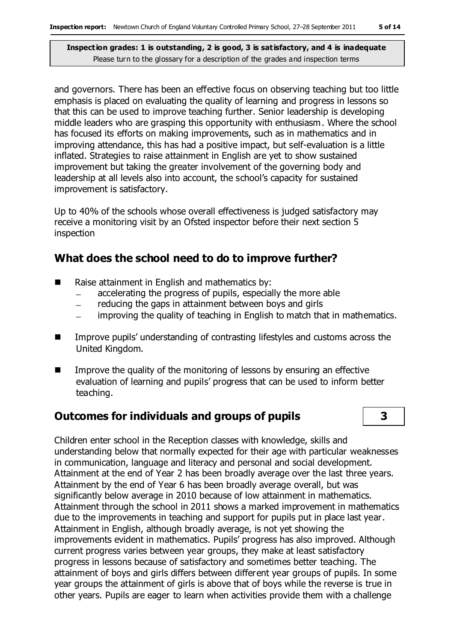and governors. There has been an effective focus on observing teaching but too little emphasis is placed on evaluating the quality of learning and progress in lessons so that this can be used to improve teaching further. Senior leadership is developing middle leaders who are grasping this opportunity with enthusiasm. Where the school has focused its efforts on making improvements, such as in mathematics and in improving attendance, this has had a positive impact, but self-evaluation is a little inflated. Strategies to raise attainment in English are yet to show sustained improvement but taking the greater involvement of the governing body and leadership at all levels also into account, the school's capacity for sustained improvement is satisfactory.

Up to 40% of the schools whose overall effectiveness is judged satisfactory may receive a monitoring visit by an Ofsted inspector before their next section 5 inspection

## **What does the school need to do to improve further?**

- Raise attainment in English and mathematics by:
	- accelerating the progress of pupils, especially the more able
	- reducing the gaps in attainment between boys and girls  $\frac{1}{1}$
	- improving the quality of teaching in English to match that in mathematics.
- Improve pupils' understanding of contrasting lifestyles and customs across the United Kingdom.
- **IMPROVE THE GUALARY IS CONCOCOLD THE MONOCOLOGY CONCOCOLOGY I**n effective evaluation of learning and pupils' progress that can be used to inform better teaching.

## **Outcomes for individuals and groups of pupils 3**

Children enter school in the Reception classes with knowledge, skills and understanding below that normally expected for their age with particular weaknesses in communication, language and literacy and personal and social development. Attainment at the end of Year 2 has been broadly average over the last three years. Attainment by the end of Year 6 has been broadly average overall, but was significantly below average in 2010 because of low attainment in mathematics. Attainment through the school in 2011 shows a marked improvement in mathematics due to the improvements in teaching and support for pupils put in place last year. Attainment in English, although broadly average, is not yet showing the improvements evident in mathematics. Pupils' progress has also improved. Although current progress varies between year groups, they make at least satisfactory progress in lessons because of satisfactory and sometimes better teaching. The attainment of boys and girls differs between different year groups of pupils. In some year groups the attainment of girls is above that of boys while the reverse is true in other years. Pupils are eager to learn when activities provide them with a challenge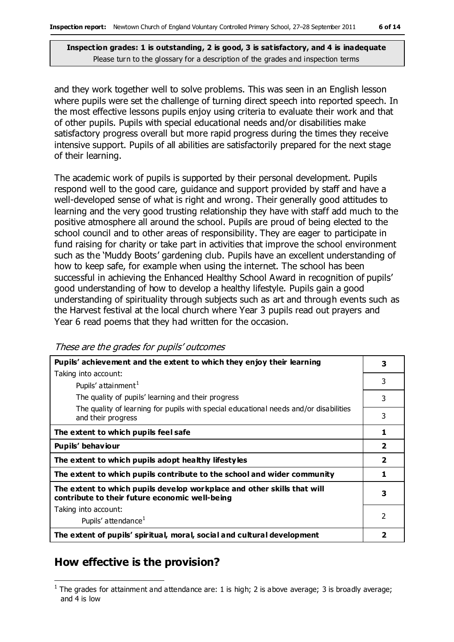and they work together well to solve problems. This was seen in an English lesson where pupils were set the challenge of turning direct speech into reported speech. In the most effective lessons pupils enjoy using criteria to evaluate their work and that of other pupils. Pupils with special educational needs and/or disabilities make satisfactory progress overall but more rapid progress during the times they receive intensive support. Pupils of all abilities are satisfactorily prepared for the next stage of their learning.

The academic work of pupils is supported by their personal development. Pupils respond well to the good care, guidance and support provided by staff and have a well-developed sense of what is right and wrong. Their generally good attitudes to learning and the very good trusting relationship they have with staff add much to the positive atmosphere all around the school. Pupils are proud of being elected to the school council and to other areas of responsibility. They are eager to participate in fund raising for charity or take part in activities that improve the school environment such as the 'Muddy Boots' gardening club. Pupils have an excellent understanding of how to keep safe, for example when using the internet. The school has been successful in achieving the Enhanced Healthy School Award in recognition of pupils' good understanding of how to develop a healthy lifestyle. Pupils gain a good understanding of spirituality through subjects such as art and through events such as the Harvest festival at the local church where Year 3 pupils read out prayers and Year 6 read poems that they had written for the occasion.

These are the grades for pupils' outcomes

| Pupils' achievement and the extent to which they enjoy their learning                                                     |                         |
|---------------------------------------------------------------------------------------------------------------------------|-------------------------|
| Taking into account:                                                                                                      |                         |
| Pupils' attainment <sup>1</sup>                                                                                           | 3                       |
| The quality of pupils' learning and their progress                                                                        | 3                       |
| The quality of learning for pupils with special educational needs and/or disabilities<br>and their progress               | 3                       |
| The extent to which pupils feel safe                                                                                      | 1                       |
| Pupils' behaviour                                                                                                         | $\overline{\mathbf{2}}$ |
| The extent to which pupils adopt healthy lifestyles                                                                       | $\overline{\mathbf{2}}$ |
| The extent to which pupils contribute to the school and wider community                                                   | 1                       |
| The extent to which pupils develop workplace and other skills that will<br>contribute to their future economic well-being | 3                       |
| Taking into account:                                                                                                      |                         |
| Pupils' attendance <sup>1</sup>                                                                                           | 2                       |
| The extent of pupils' spiritual, moral, social and cultural development                                                   | $\overline{\mathbf{2}}$ |

### **How effective is the provision?**

 $\overline{a}$ <sup>1</sup> The grades for attainment and attendance are: 1 is high; 2 is above average; 3 is broadly average; and 4 is low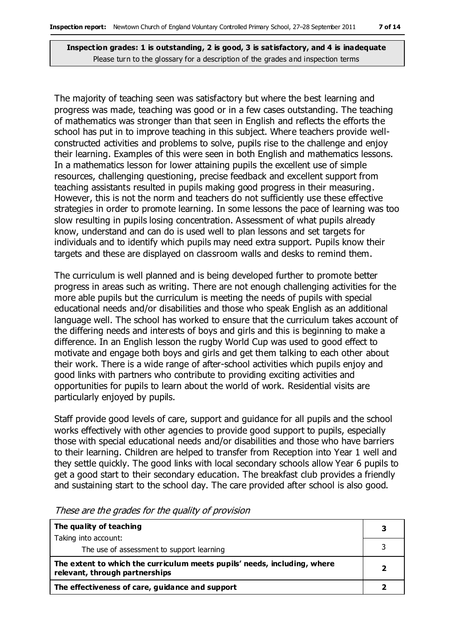The majority of teaching seen was satisfactory but where the best learning and progress was made, teaching was good or in a few cases outstanding. The teaching of mathematics was stronger than that seen in English and reflects the efforts the school has put in to improve teaching in this subject. Where teachers provide wellconstructed activities and problems to solve, pupils rise to the challenge and enjoy their learning. Examples of this were seen in both English and mathematics lessons. In a mathematics lesson for lower attaining pupils the excellent use of simple resources, challenging questioning, precise feedback and excellent support from teaching assistants resulted in pupils making good progress in their measuring. However, this is not the norm and teachers do not sufficiently use these effective strategies in order to promote learning. In some lessons the pace of learning was too slow resulting in pupils losing concentration. Assessment of what pupils already know, understand and can do is used well to plan lessons and set targets for individuals and to identify which pupils may need extra support. Pupils know their targets and these are displayed on classroom walls and desks to remind them.

The curriculum is well planned and is being developed further to promote better progress in areas such as writing. There are not enough challenging activities for the more able pupils but the curriculum is meeting the needs of pupils with special educational needs and/or disabilities and those who speak English as an additional language well. The school has worked to ensure that the curriculum takes account of the differing needs and interests of boys and girls and this is beginning to make a difference. In an English lesson the rugby World Cup was used to good effect to motivate and engage both boys and girls and get them talking to each other about their work. There is a wide range of after-school activities which pupils enjoy and good links with partners who contribute to providing exciting activities and opportunities for pupils to learn about the world of work. Residential visits are particularly enjoyed by pupils.

Staff provide good levels of care, support and guidance for all pupils and the school works effectively with other agencies to provide good support to pupils, especially those with special educational needs and/or disabilities and those who have barriers to their learning. Children are helped to transfer from Reception into Year 1 well and they settle quickly. The good links with local secondary schools allow Year 6 pupils to get a good start to their secondary education. The breakfast club provides a friendly and sustaining start to the school day. The care provided after school is also good.

| The quality of teaching                                                                                    |  |
|------------------------------------------------------------------------------------------------------------|--|
| Taking into account:                                                                                       |  |
| The use of assessment to support learning                                                                  |  |
| The extent to which the curriculum meets pupils' needs, including, where<br>relevant, through partnerships |  |
| The effectiveness of care, guidance and support                                                            |  |

These are the grades for the quality of provision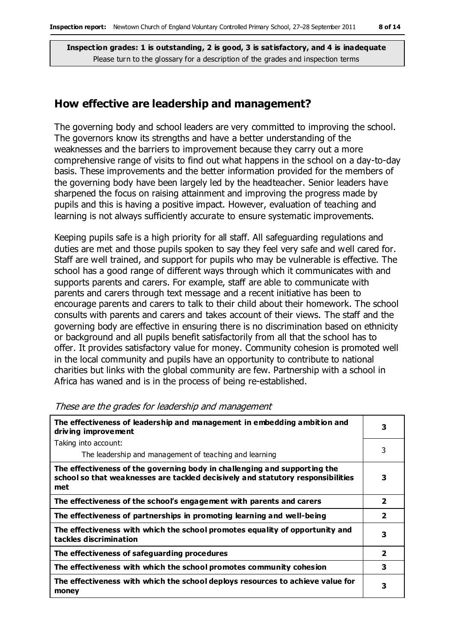#### **How effective are leadership and management?**

The governing body and school leaders are very committed to improving the school. The governors know its strengths and have a better understanding of the weaknesses and the barriers to improvement because they carry out a more comprehensive range of visits to find out what happens in the school on a day-to-day basis. These improvements and the better information provided for the members of the governing body have been largely led by the headteacher. Senior leaders have sharpened the focus on raising attainment and improving the progress made by pupils and this is having a positive impact. However, evaluation of teaching and learning is not always sufficiently accurate to ensure systematic improvements.

Keeping pupils safe is a high priority for all staff. All safeguarding regulations and duties are met and those pupils spoken to say they feel very safe and well cared for. Staff are well trained, and support for pupils who may be vulnerable is effective. The school has a good range of different ways through which it communicates with and supports parents and carers. For example, staff are able to communicate with parents and carers through text message and a recent initiative has been to encourage parents and carers to talk to their child about their homework. The school consults with parents and carers and takes account of their views. The staff and the governing body are effective in ensuring there is no discrimination based on ethnicity or background and all pupils benefit satisfactorily from all that the school has to offer. It provides satisfactory value for money. Community cohesion is promoted well in the local community and pupils have an opportunity to contribute to national charities but links with the global community are few. Partnership with a school in Africa has waned and is in the process of being re-established.

| The effectiveness of leadership and management in embedding ambition and<br>driving improvement                                                                     |                         |
|---------------------------------------------------------------------------------------------------------------------------------------------------------------------|-------------------------|
| Taking into account:                                                                                                                                                |                         |
| The leadership and management of teaching and learning                                                                                                              | 3                       |
| The effectiveness of the governing body in challenging and supporting the<br>school so that weaknesses are tackled decisively and statutory responsibilities<br>met | 3                       |
| The effectiveness of the school's engagement with parents and carers                                                                                                | $\overline{2}$          |
| The effectiveness of partnerships in promoting learning and well-being                                                                                              | $\overline{\mathbf{2}}$ |
| The effectiveness with which the school promotes equality of opportunity and<br>tackles discrimination                                                              | 3                       |
| The effectiveness of safeguarding procedures                                                                                                                        | $\overline{\mathbf{2}}$ |
| The effectiveness with which the school promotes community cohesion                                                                                                 | 3                       |
| The effectiveness with which the school deploys resources to achieve value for<br>money                                                                             | 3                       |

These are the grades for leadership and management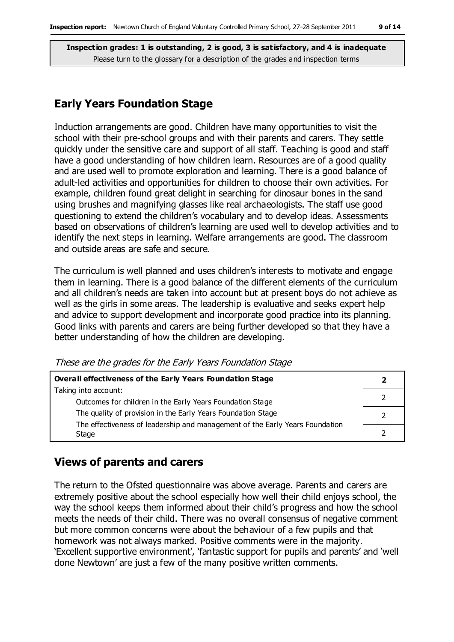## **Early Years Foundation Stage**

Induction arrangements are good. Children have many opportunities to visit the school with their pre-school groups and with their parents and carers. They settle quickly under the sensitive care and support of all staff. Teaching is good and staff have a good understanding of how children learn. Resources are of a good quality and are used well to promote exploration and learning. There is a good balance of adult-led activities and opportunities for children to choose their own activities. For example, children found great delight in searching for dinosaur bones in the sand using brushes and magnifying glasses like real archaeologists. The staff use good questioning to extend the children's vocabulary and to develop ideas. Assessments based on observations of children's learning are used well to develop activities and to identify the next steps in learning. Welfare arrangements are good. The classroom and outside areas are safe and secure.

The curriculum is well planned and uses children's interests to motivate and engage them in learning. There is a good balance of the different elements of the curriculum and all children's needs are taken into account but at present boys do not achieve as well as the girls in some areas. The leadership is evaluative and seeks expert help and advice to support development and incorporate good practice into its planning. Good links with parents and carers are being further developed so that they have a better understanding of how the children are developing.

These are the grades for the Early Years Foundation Stage

| Overall effectiveness of the Early Years Foundation Stage                    |  |
|------------------------------------------------------------------------------|--|
| Taking into account:                                                         |  |
| Outcomes for children in the Early Years Foundation Stage                    |  |
| The quality of provision in the Early Years Foundation Stage                 |  |
| The effectiveness of leadership and management of the Early Years Foundation |  |
| Stage                                                                        |  |

#### **Views of parents and carers**

The return to the Ofsted questionnaire was above average. Parents and carers are extremely positive about the school especially how well their child enjoys school, the way the school keeps them informed about their child's progress and how the school meets the needs of their child. There was no overall consensus of negative comment but more common concerns were about the behaviour of a few pupils and that homework was not always marked. Positive comments were in the majority. 'Excellent supportive environment', 'fantastic support for pupils and parents' and 'well done Newtown' are just a few of the many positive written comments.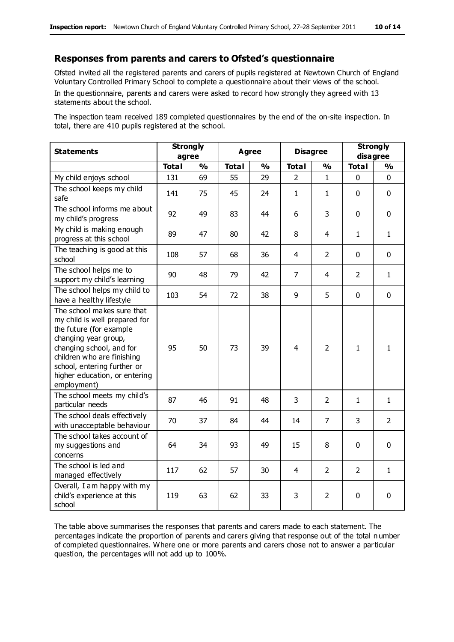#### **Responses from parents and carers to Ofsted's questionnaire**

Ofsted invited all the registered parents and carers of pupils registered at Newtown Church of England Voluntary Controlled Primary School to complete a questionnaire about their views of the school.

In the questionnaire, parents and carers were asked to record how strongly they agreed with 13 statements about the school.

The inspection team received 189 completed questionnaires by the end of the on-site inspection. In total, there are 410 pupils registered at the school.

| <b>Statements</b>                                                                                                                                                                                                                                       | <b>Strongly</b><br>agree |               | <b>Agree</b><br><b>Disagree</b> |               |                | <b>Strongly</b><br>disagree |                |                |
|---------------------------------------------------------------------------------------------------------------------------------------------------------------------------------------------------------------------------------------------------------|--------------------------|---------------|---------------------------------|---------------|----------------|-----------------------------|----------------|----------------|
|                                                                                                                                                                                                                                                         | <b>Total</b>             | $\frac{1}{2}$ | <b>Total</b>                    | $\frac{1}{2}$ | <b>Total</b>   | $\frac{1}{2}$               | <b>Total</b>   | $\frac{1}{2}$  |
| My child enjoys school                                                                                                                                                                                                                                  | 131                      | 69            | 55                              | 29            | $\overline{2}$ | $\mathbf{1}$                | $\mathbf 0$    | $\mathbf 0$    |
| The school keeps my child<br>safe                                                                                                                                                                                                                       | 141                      | 75            | 45                              | 24            | $\mathbf{1}$   | 1                           | $\mathbf 0$    | $\mathbf 0$    |
| The school informs me about<br>my child's progress                                                                                                                                                                                                      | 92                       | 49            | 83                              | 44            | 6              | 3                           | $\mathbf 0$    | $\mathbf 0$    |
| My child is making enough<br>progress at this school                                                                                                                                                                                                    | 89                       | 47            | 80                              | 42            | 8              | 4                           | $\mathbf{1}$   | $\mathbf{1}$   |
| The teaching is good at this<br>school                                                                                                                                                                                                                  | 108                      | 57            | 68                              | 36            | 4              | $\overline{2}$              | $\mathbf 0$    | $\mathbf 0$    |
| The school helps me to<br>support my child's learning                                                                                                                                                                                                   | 90                       | 48            | 79                              | 42            | $\overline{7}$ | 4                           | $\overline{2}$ | $\mathbf{1}$   |
| The school helps my child to<br>have a healthy lifestyle                                                                                                                                                                                                | 103                      | 54            | 72                              | 38            | 9              | 5                           | $\mathbf 0$    | $\mathbf 0$    |
| The school makes sure that<br>my child is well prepared for<br>the future (for example<br>changing year group,<br>changing school, and for<br>children who are finishing<br>school, entering further or<br>higher education, or entering<br>employment) | 95                       | 50            | 73                              | 39            | $\overline{4}$ | $\overline{2}$              | $\mathbf{1}$   | $\mathbf{1}$   |
| The school meets my child's<br>particular needs                                                                                                                                                                                                         | 87                       | 46            | 91                              | 48            | 3              | $\overline{2}$              | $\mathbf{1}$   | $\mathbf{1}$   |
| The school deals effectively<br>with unacceptable behaviour                                                                                                                                                                                             | 70                       | 37            | 84                              | 44            | 14             | $\overline{7}$              | 3              | $\overline{2}$ |
| The school takes account of<br>my suggestions and<br>concerns                                                                                                                                                                                           | 64                       | 34            | 93                              | 49            | 15             | 8                           | $\mathbf 0$    | $\mathbf 0$    |
| The school is led and<br>managed effectively                                                                                                                                                                                                            | 117                      | 62            | 57                              | 30            | $\overline{4}$ | $\overline{2}$              | $\overline{2}$ | $\mathbf{1}$   |
| Overall, I am happy with my<br>child's experience at this<br>school                                                                                                                                                                                     | 119                      | 63            | 62                              | 33            | 3              | 2                           | $\mathbf 0$    | $\mathbf 0$    |

The table above summarises the responses that parents and carers made to each statement. The percentages indicate the proportion of parents and carers giving that response out of the total n umber of completed questionnaires. Where one or more parents and carers chose not to answer a particular question, the percentages will not add up to 100%.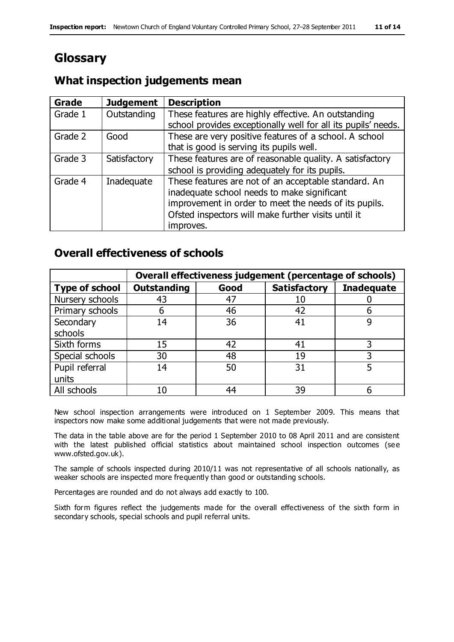# **Glossary**

## **What inspection judgements mean**

| <b>Grade</b> | <b>Judgement</b> | <b>Description</b>                                            |
|--------------|------------------|---------------------------------------------------------------|
| Grade 1      | Outstanding      | These features are highly effective. An outstanding           |
|              |                  | school provides exceptionally well for all its pupils' needs. |
| Grade 2      | Good             | These are very positive features of a school. A school        |
|              |                  | that is good is serving its pupils well.                      |
| Grade 3      | Satisfactory     | These features are of reasonable quality. A satisfactory      |
|              |                  | school is providing adequately for its pupils.                |
| Grade 4      | Inadequate       | These features are not of an acceptable standard. An          |
|              |                  | inadequate school needs to make significant                   |
|              |                  | improvement in order to meet the needs of its pupils.         |
|              |                  | Ofsted inspectors will make further visits until it           |
|              |                  | improves.                                                     |

## **Overall effectiveness of schools**

|                       | Overall effectiveness judgement (percentage of schools) |      |                     |                   |
|-----------------------|---------------------------------------------------------|------|---------------------|-------------------|
| <b>Type of school</b> | <b>Outstanding</b>                                      | Good | <b>Satisfactory</b> | <b>Inadequate</b> |
| Nursery schools       | 43                                                      | 47   |                     |                   |
| Primary schools       | h                                                       | 46   | 42                  |                   |
| Secondary             | 14                                                      | 36   | 41                  |                   |
| schools               |                                                         |      |                     |                   |
| Sixth forms           | 15                                                      | 42   | 41                  | 3                 |
| Special schools       | 30                                                      | 48   | 19                  |                   |
| Pupil referral        | 14                                                      | 50   | 31                  |                   |
| units                 |                                                         |      |                     |                   |
| All schools           | 10                                                      | 44   | 39                  |                   |

New school inspection arrangements were introduced on 1 September 2009. This means that inspectors now make some additional judgements that were not made previously.

The data in the table above are for the period 1 September 2010 to 08 April 2011 and are consistent with the latest published official statistics about maintained school inspection outcomes (see www.ofsted.gov.uk).

The sample of schools inspected during 2010/11 was not representative of all schools nationally, as weaker schools are inspected more frequently than good or outstanding schools.

Percentages are rounded and do not always add exactly to 100.

Sixth form figures reflect the judgements made for the overall effectiveness of the sixth form in secondary schools, special schools and pupil referral units.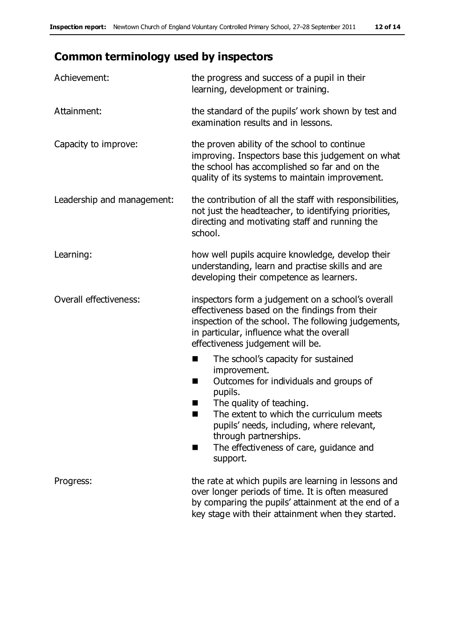# **Common terminology used by inspectors**

| Achievement:                  | the progress and success of a pupil in their<br>learning, development or training.                                                                                                                                                                                                                                           |
|-------------------------------|------------------------------------------------------------------------------------------------------------------------------------------------------------------------------------------------------------------------------------------------------------------------------------------------------------------------------|
| Attainment:                   | the standard of the pupils' work shown by test and<br>examination results and in lessons.                                                                                                                                                                                                                                    |
| Capacity to improve:          | the proven ability of the school to continue<br>improving. Inspectors base this judgement on what<br>the school has accomplished so far and on the<br>quality of its systems to maintain improvement.                                                                                                                        |
| Leadership and management:    | the contribution of all the staff with responsibilities,<br>not just the headteacher, to identifying priorities,<br>directing and motivating staff and running the<br>school.                                                                                                                                                |
| Learning:                     | how well pupils acquire knowledge, develop their<br>understanding, learn and practise skills and are<br>developing their competence as learners.                                                                                                                                                                             |
| <b>Overall effectiveness:</b> | inspectors form a judgement on a school's overall<br>effectiveness based on the findings from their<br>inspection of the school. The following judgements,<br>in particular, influence what the overall<br>effectiveness judgement will be.                                                                                  |
|                               | The school's capacity for sustained<br>×<br>improvement.<br>Outcomes for individuals and groups of<br>п<br>pupils.<br>The quality of teaching.<br>The extent to which the curriculum meets<br>pupils' needs, including, where relevant,<br>through partnerships.<br>The effectiveness of care, guidance and<br>■<br>support. |
| Progress:                     | the rate at which pupils are learning in lessons and<br>over longer periods of time. It is often measured<br>by comparing the pupils' attainment at the end of a<br>key stage with their attainment when they started.                                                                                                       |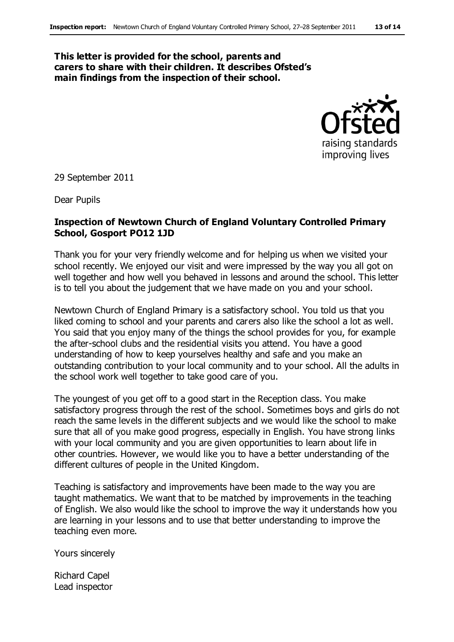#### **This letter is provided for the school, parents and carers to share with their children. It describes Ofsted's main findings from the inspection of their school.**



29 September 2011

Dear Pupils

#### **Inspection of Newtown Church of England Voluntary Controlled Primary School, Gosport PO12 1JD**

Thank you for your very friendly welcome and for helping us when we visited your school recently. We enjoyed our visit and were impressed by the way you all got on well together and how well you behaved in lessons and around the school. This letter is to tell you about the judgement that we have made on you and your school.

Newtown Church of England Primary is a satisfactory school. You told us that you liked coming to school and your parents and carers also like the school a lot as well. You said that you enjoy many of the things the school provides for you, for example the after-school clubs and the residential visits you attend. You have a good understanding of how to keep yourselves healthy and safe and you make an outstanding contribution to your local community and to your school. All the adults in the school work well together to take good care of you.

The youngest of you get off to a good start in the Reception class. You make satisfactory progress through the rest of the school. Sometimes boys and girls do not reach the same levels in the different subjects and we would like the school to make sure that all of you make good progress, especially in English. You have strong links with your local community and you are given opportunities to learn about life in other countries. However, we would like you to have a better understanding of the different cultures of people in the United Kingdom.

Teaching is satisfactory and improvements have been made to the way you are taught mathematics. We want that to be matched by improvements in the teaching of English. We also would like the school to improve the way it understands how you are learning in your lessons and to use that better understanding to improve the teaching even more.

Yours sincerely

Richard Capel Lead inspector